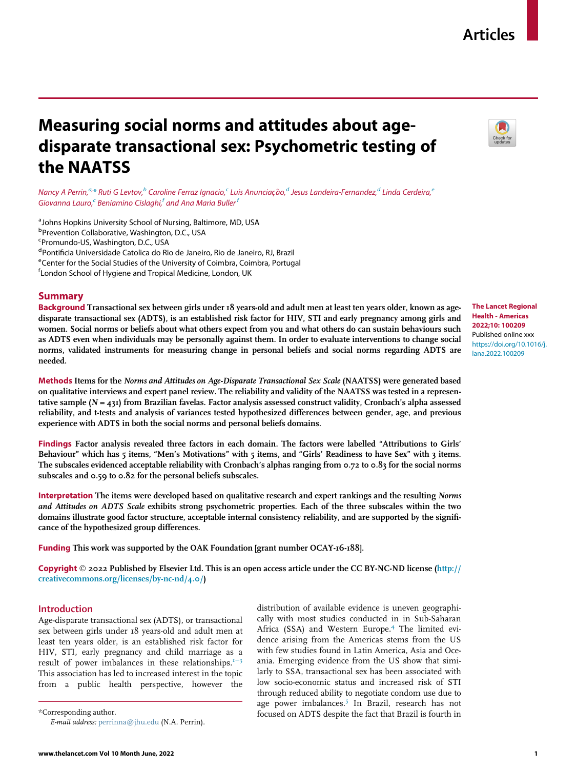## Articles

# Measuring social norms and attitudes about agedisparate transactional sex: Psychometric testing of the NAATSS

Nancy A Perrin, $^{a,*}$  Ruti G Levtov, $^b$  Caroline Ferraz Ignacio, $^c$  Luis Anunciação, $^d$  Jesus Landeira-Fernandez, $^d$  Linda Cerdeira, $^e$ Giovanna Lauro, $^{\mathsf{c}}$  Beniamino Cislaghi, $^{\mathsf{f}}$  and Ana Maria Buller  $^{\mathsf{f}}$ 

<sup>a</sup> Johns Hopkins University School of Nursing, Baltimore, MD, USA <sup>b</sup>Prevention Collaborative, Washington, D.C., USA <sup>c</sup>Promundo-US, Washington, D.C., USA <sup>d</sup> Pontificia Universidade Catolica do Rio de Janeiro, Rio de Janeiro, RJ, Brazil<br><sup>e</sup> Conter for the Social Studies of the University of Coimbra, Coimbra, Bertuo eCenter for the Social Studies of the University of Coimbra, Coimbra, Portugal f London School of Hygiene and Tropical Medicine, London, UK

## Summary

Background Transactional sex between girls under 18 years-old and adult men at least ten years older, known as agedisparate transactional sex (ADTS), is an established risk factor for HIV, STI and early pregnancy among girls and women. Social norms or beliefs about what others expect from you and what others do can sustain behaviours such as ADTS even when individuals may be personally against them. In order to evaluate interventions to change social norms, validated instruments for measuring change in personal beliefs and social norms regarding ADTS are needed.



The Lancet Regional Health - Americas 2022;10: 100209 Published online xxx https://doi.org/10.1016/j. lana.2022.100209

Methods Items for the Norms and Attitudes on Age-Disparate Transactional Sex Scale (NAATSS) were generated based on qualitative interviews and expert panel review. The reliability and validity of the NAATSS was tested in a representative sample  $(N = 431)$  from Brazilian favelas. Factor analysis assessed construct validity, Cronbach's alpha assessed reliability, and t-tests and analysis of variances tested hypothesized differences between gender, age, and previous experience with ADTS in both the social norms and personal beliefs domains.

Findings Factor analysis revealed three factors in each domain. The factors were labelled "Attributions to Girls' Behaviour" which has 5 items, "Men's Motivations" with 5 items, and "Girls' Readiness to have Sex" with 3 items. The subscales evidenced acceptable reliability with Cronbach's alphas ranging from 0.72 to 0.83 for the social norms subscales and 0.59 to 0.82 for the personal beliefs subscales.

Interpretation The items were developed based on qualitative research and expert rankings and the resulting Norms and Attitudes on ADTS Scale exhibits strong psychometric properties. Each of the three subscales within the two domains illustrate good factor structure, acceptable internal consistency reliability, and are supported by the significance of the hypothesized group differences.

Funding This work was supported by the OAK Foundation [grant number OCAY-16-188].

**Copyright**  $\odot$  2022 Published by Elsevier Ltd. This is an open access article under the CC BY-NC-ND license (http:// creativecommons.org/licenses/by-nc-nd/4.0/)

## Introduction

Age-disparate transactional sex (ADTS), or transactional sex between girls under 18 years-old and adult men at least ten years older, is an established risk factor for HIV, STI, early pregnancy and child marriage as a result of power imbalances in these relationships. $1-3$ This association has led to increased interest in the topic from a public health perspective, however the

with few studies found in Latin America, Asia and Oceania. Emerging evidence from the US show that similarly to SSA, transactional sex has been associated with low socio-economic status and increased risk of STI through reduced ability to negotiate condom use due to age power imbalances.<sup>5</sup> In Brazil, research has not \*Corresponding author. focused on ADTS despite the fact that Brazil is fourth in E-mail address: perrinna@jhu.edu (N.A. Perrin).

distribution of available evidence is uneven geographically with most studies conducted in in Sub-Saharan Africa (SSA) and Western Europe.<sup>4</sup> The limited evidence arising from the Americas stems from the US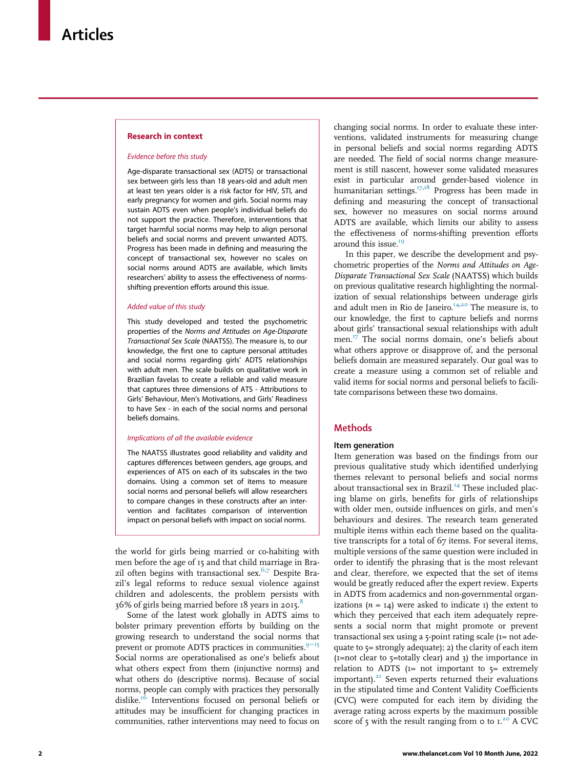#### Research in context

#### Evidence before this study

Age-disparate transactional sex (ADTS) or transactional sex between girls less than 18 years-old and adult men at least ten years older is a risk factor for HIV, STI, and early pregnancy for women and girls. Social norms may sustain ADTS even when people's individual beliefs do not support the practice. Therefore, interventions that target harmful social norms may help to align personal beliefs and social norms and prevent unwanted ADTS. Progress has been made in defining and measuring the concept of transactional sex, however no scales on social norms around ADTS are available, which limits researchers' ability to assess the effectiveness of normsshifting prevention efforts around this issue.

#### Added value of this study

This study developed and tested the psychometric properties of the Norms and Attitudes on Age-Disparate Transactional Sex Scale (NAATSS). The measure is, to our knowledge, the first one to capture personal attitudes and social norms regarding girls' ADTS relationships with adult men. The scale builds on qualitative work in Brazilian favelas to create a reliable and valid measure that captures three dimensions of ATS - Attributions to Girls' Behaviour, Men's Motivations, and Girls' Readiness to have Sex - in each of the social norms and personal beliefs domains.

#### Implications of all the available evidence

The NAATSS illustrates good reliability and validity and captures differences between genders, age groups, and experiences of ATS on each of its subscales in the two domains. Using a common set of items to measure social norms and personal beliefs will allow researchers to compare changes in these constructs after an intervention and facilitates comparison of intervention impact on personal beliefs with impact on social norms.

the world for girls being married or co-habiting with men before the age of 15 and that child marriage in Brazil often begins with transactional sex.<sup>6,7</sup> Despite Brazil's legal reforms to reduce sexual violence against children and adolescents, the problem persists with  $36\%$  of girls being married before 18 years in 2015.

Some of the latest work globally in ADTS aims to bolster primary prevention efforts by building on the growing research to understand the social norms that prevent or promote ADTS practices in communities.<sup>9−15</sup> Social norms are operationalised as one's beliefs about what others expect from them (injunctive norms) and what others do (descriptive norms). Because of social norms, people can comply with practices they personally dislike.<sup>16</sup> Interventions focused on personal beliefs or attitudes may be insufficient for changing practices in communities, rather interventions may need to focus on

changing social norms. In order to evaluate these interventions, validated instruments for measuring change in personal beliefs and social norms regarding ADTS are needed. The field of social norms change measurement is still nascent, however some validated measures exist in particular around gender-based violence in humanitarian settings.<sup>17,18</sup> Progress has been made in defining and measuring the concept of transactional sex, however no measures on social norms around ADTS are available, which limits our ability to assess the effectiveness of norms-shifting prevention efforts around this issue.<sup>19</sup>

In this paper, we describe the development and psychometric properties of the Norms and Attitudes on Age-Disparate Transactional Sex Scale (NAATSS) which builds on previous qualitative research highlighting the normalization of sexual relationships between underage girls and adult men in Rio de Janeiro.<sup>14,20</sup> The measure is, to our knowledge, the first to capture beliefs and norms about girls' transactional sexual relationships with adult men.<sup>17</sup> The social norms domain, one's beliefs about what others approve or disapprove of, and the personal beliefs domain are measured separately. Our goal was to create a measure using a common set of reliable and valid items for social norms and personal beliefs to facilitate comparisons between these two domains.

## **Methods**

#### Item generation

Item generation was based on the findings from our previous qualitative study which identified underlying themes relevant to personal beliefs and social norms about transactional sex in Brazil.<sup>14</sup> These included placing blame on girls, benefits for girls of relationships with older men, outside influences on girls, and men's behaviours and desires. The research team generated multiple items within each theme based on the qualitative transcripts for a total of 67 items. For several items, multiple versions of the same question were included in order to identify the phrasing that is the most relevant and clear, therefore, we expected that the set of items would be greatly reduced after the expert review. Experts in ADTS from academics and non-governmental organizations  $(n = 14)$  were asked to indicate 1) the extent to which they perceived that each item adequately represents a social norm that might promote or prevent transactional sex using a 5-point rating scale (1= not adequate to 5= strongly adequate); 2) the clarity of each item  $(I=not clear to \xi=totally clear)$  and 3) the importance in relation to ADTS ( $I=$  not important to  $\zeta=$  extremely important). $2I$  Seven experts returned their evaluations in the stipulated time and Content Validity Coefficients (CVC) were computed for each item by dividing the average rating across experts by the maximum possible score of  $\zeta$  with the result ranging from  $\phi$  to  $I^{20}$ . A CVC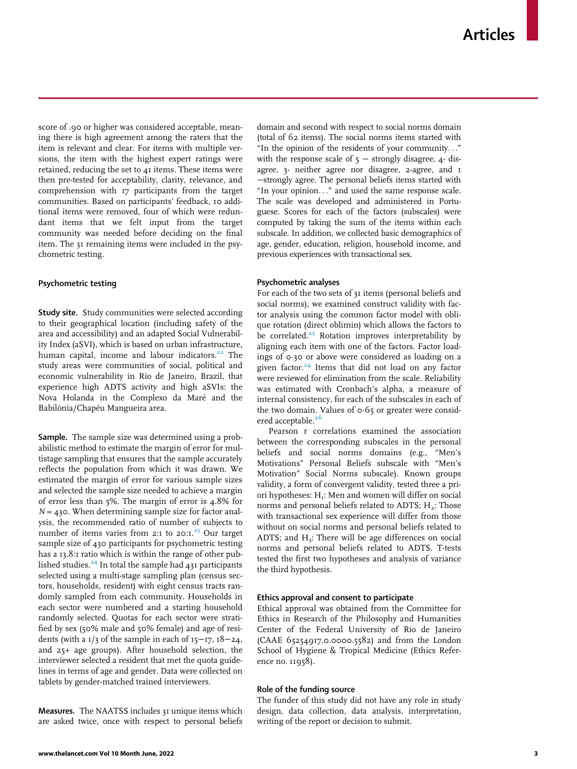score of .90 or higher was considered acceptable, meaning there is high agreement among the raters that the item is relevant and clear. For items with multiple versions, the item with the highest expert ratings were retained, reducing the set to 41 items. These items were then pre-tested for acceptability, clarity, relevance, and comprehension with 17 participants from the target communities. Based on participants' feedback, 10 additional items were removed, four of which were redundant items that we felt input from the target community was needed before deciding on the final item. The 31 remaining items were included in the psychometric testing.

## Psychometric testing

Study site. Study communities were selected according to their geographical location (including safety of the area and accessibility) and an adapted Social Vulnerability Index (aSVI), which is based on urban infrastructure, human capital, income and labour indicators.<sup>22</sup> The study areas were communities of social, political and economic vulnerability in Rio de Janeiro, Brazil, that experience high ADTS activity and high aSVIs: the Nova Holanda in the Complexo da Maré and the Babilônia/Chapéu Mangueira area.

Sample. The sample size was determined using a probabilistic method to estimate the margin of error for multistage sampling that ensures that the sample accurately reflects the population from which it was drawn. We estimated the margin of error for various sample sizes and selected the sample size needed to achieve a margin of error less than 5%. The margin of error is 4.8% for  $N = 430$ . When determining sample size for factor analysis, the recommended ratio of number of subjects to number of items varies from 2:1 to 20:1.<sup>23</sup> Our target sample size of 430 participants for psychometric testing has a 13.8:1 ratio which is within the range of other published studies. $^{24}$  In total the sample had 431 participants selected using a multi-stage sampling plan (census sectors, households, resident) with eight census tracts randomly sampled from each community. Households in each sector were numbered and a starting household randomly selected. Quotas for each sector were stratified by sex (50% male and 50% female) and age of residents (with a 1/3 of the sample in each of 15−17, 18−24, and 25+ age groups). After household selection, the interviewer selected a resident that met the quota guidelines in terms of age and gender. Data were collected on tablets by gender-matched trained interviewers.

Measures. The NAATSS includes 31 unique items which are asked twice, once with respect to personal beliefs domain and second with respect to social norms domain (total of 62 items). The social norms items started with "In the opinion of the residents of your community..." with the response scale of  $5 -$  strongly disagree,  $4$ - disagree, 3- neither agree nor disagree, 2-agree, and 1 −strongly agree. The personal beliefs items started with "In your opinion..." and used the same response scale. The scale was developed and administered in Portuguese. Scores for each of the factors (subscales) were computed by taking the sum of the items within each subscale. In addition, we collected basic demographics of age, gender, education, religion, household income, and previous experiences with transactional sex.

## Psychometric analyses

For each of the two sets of 31 items (personal beliefs and social norms), we examined construct validity with factor analysis using the common factor model with oblique rotation (direct oblimin) which allows the factors to be correlated. $25$  Rotation improves interpretability by aligning each item with one of the factors. Factor loadings of 0¢30 or above were considered as loading on a given factor.<sup>24</sup> Items that did not load on any factor were reviewed for elimination from the scale. Reliability was estimated with Cronbach's alpha, a measure of internal consistency, for each of the subscales in each of the two domain. Values of  $\sigma$ -65 or greater were considered acceptable.<sup>26</sup>

Pearson r correlations examined the association between the corresponding subscales in the personal beliefs and social norms domains (e.g., "Men's Motivations" Personal Beliefs subscale with "Men's Motivation" Social Norms subscale). Known groups validity, a form of convergent validity, tested three a priori hypotheses:  $H<sub>1</sub>$ : Men and women will differ on social norms and personal beliefs related to ADTS;  $H_2$ : Those with transactional sex experience will differ from those without on social norms and personal beliefs related to ADTS; and  $H_3$ : There will be age differences on social norms and personal beliefs related to ADTS. T-tests tested the first two hypotheses and analysis of variance the third hypothesis.

#### Ethics approval and consent to participate

Ethical approval was obtained from the Committee for Ethics in Research of the Philosophy and Humanities Center of the Federal University of Rio de Janeiro (CAAE 65254917.0.0000.5582) and from the London School of Hygiene & Tropical Medicine (Ethics Reference no. 11958).

#### Role of the funding source

The funder of this study did not have any role in study design, data collection, data analysis, interpretation, writing of the report or decision to submit.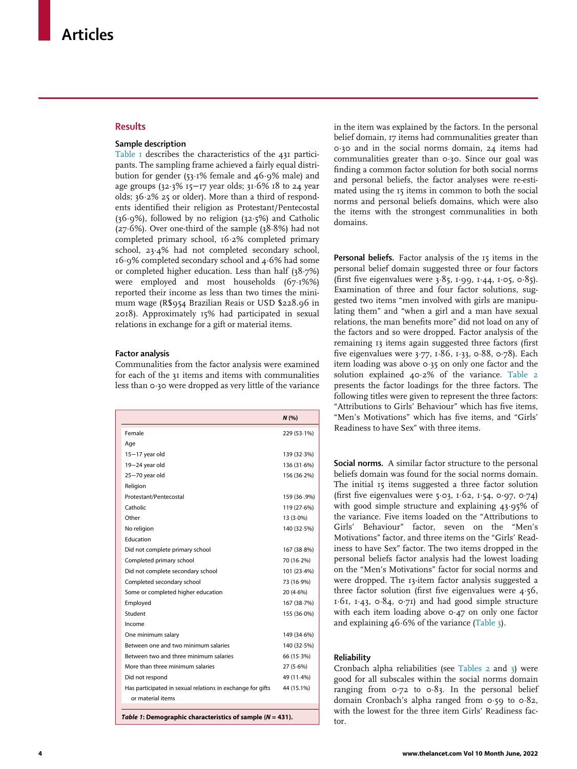## **Results**

## Sample description

Table 1 describes the characteristics of the 431 participants. The sampling frame achieved a fairly equal distribution for gender (53 $\cdot$ 1% female and 46 $\cdot$ 9% male) and age groups  $(32.3\% 15-17)$  year olds;  $31.6\% 18$  to 24 year olds;  $36.2\%$  25 or older). More than a third of respondents identified their religion as Protestant/Pentecostal  $(36·9%)$ , followed by no religion  $(32·5%)$  and Catholic ( $27·6%$ ). Over one-third of the sample ( $38·8%$ ) had not completed primary school, 16-2% completed primary school, 23.4% had not completed secondary school, 16¢9% completed secondary school and 4¢6% had some or completed higher education. Less than half  $(38.7%)$ were employed and most households  $(67.1\%)$ reported their income as less than two times the minimum wage (R\$954 Brazilian Reais or USD \$228.96 in 2018). Approximately 15% had participated in sexual relations in exchange for a gift or material items.

## Factor analysis

Communalities from the factor analysis were examined for each of the 31 items and items with communalities less than 0.30 were dropped as very little of the variance

|                                                            | N(%         |
|------------------------------------------------------------|-------------|
| Female                                                     | 229 (53.1%) |
| Age                                                        |             |
| $15 - 17$ year old                                         | 139 (32-3%) |
| 19-24 year old                                             | 136 (31.6%) |
| 25-70 year old                                             | 156 (36.2%) |
| Religion                                                   |             |
| Protestant/Pentecostal                                     | 159 (36.9%) |
| Catholic                                                   | 119 (27.6%) |
| Other                                                      | 13 (3.0%)   |
| No religion                                                | 140 (32.5%) |
| Education                                                  |             |
| Did not complete primary school                            | 167 (38.8%) |
| Completed primary school                                   | 70 (16.2%)  |
| Did not complete secondary school                          | 101 (23-4%) |
| Completed secondary school                                 | 73 (16.9%)  |
| Some or completed higher education                         | 20(4.6%)    |
| Employed                                                   | 167 (38.7%) |
| Student                                                    | 155 (36.0%) |
| Income                                                     |             |
| One minimum salary                                         | 149 (34.6%) |
| Between one and two minimum salaries                       | 140 (32.5%) |
| Between two and three minimum salaries                     | 66 (15.3%)  |
| More than three minimum salaries                           | $27(5.6\%)$ |
| Did not respond                                            | 49 (11-4%)  |
| Has participated in sexual relations in exchange for gifts | 44 (15.1%)  |
| or material items                                          |             |
| .                                                          |             |

Table 1: Demographic characteristics of sample  $(N = 431)$ .

in the item was explained by the factors. In the personal belief domain, 17 items had communalities greater than 0¢30 and in the social norms domain, 24 items had communalities greater than 0.30. Since our goal was finding a common factor solution for both social norms and personal beliefs, the factor analyses were re-estimated using the 15 items in common to both the social norms and personal beliefs domains, which were also the items with the strongest communalities in both domains.

Personal beliefs. Factor analysis of the 15 items in the personal belief domain suggested three or four factors (first five eigenvalues were  $3.85$ , 1.99, 1.44, 1.05, 0.85). Examination of three and four factor solutions, suggested two items "men involved with girls are manipulating them" and "when a girl and a man have sexual relations, the man benefits more" did not load on any of the factors and so were dropped. Factor analysis of the remaining 13 items again suggested three factors (first five eigenvalues were 3.77, 1.86, 1.33, 0.88, 0.78). Each item loading was above  $o$  35 on only one factor and the solution explained 40.2% of the variance. Table 2 presents the factor loadings for the three factors. The following titles were given to represent the three factors: "Attributions to Girls' Behaviour" which has five items, "Men's Motivations" which has five items, and "Girls' Readiness to have Sex" with three items.

Social norms. A similar factor structure to the personal beliefs domain was found for the social norms domain. The initial 15 items suggested a three factor solution (first five eigenvalues were 5.03, 1.62, 1.54, 0.97, 0.74) with good simple structure and explaining 43.95% of the variance. Five items loaded on the "Attributions to Girls' Behaviour" factor, seven on the "Men's Motivations" factor, and three items on the "Girls' Readiness to have Sex" factor. The two items dropped in the personal beliefs factor analysis had the lowest loading on the "Men's Motivations" factor for social norms and were dropped. The 13-item factor analysis suggested a three factor solution (first five eigenvalues were  $4.56$ , 1 $\cdot$ 61, 1 $\cdot$ 43, 0 $\cdot$ 84, 0 $\cdot$ 71) and had good simple structure with each item loading above  $0.47$  on only one factor and explaining  $46·6%$  of the variance (Table 3).

#### Reliability

Cronbach alpha reliabilities (see Tables 2 and 3) were good for all subscales within the social norms domain ranging from  $o·72$  to  $o·83$ . In the personal belief domain Cronbach's alpha ranged from  $0.59$  to  $0.82$ , with the lowest for the three item Girls' Readiness factor.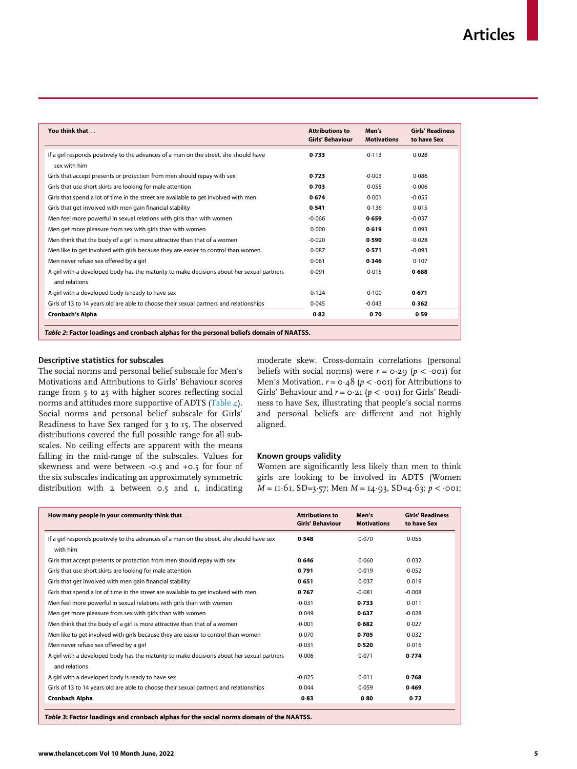| You think that                                                                                             | <b>Attributions to</b><br><b>Girls' Behaviour</b> | Men's<br><b>Motivations</b> | <b>Girls' Readiness</b><br>to have Sex |
|------------------------------------------------------------------------------------------------------------|---------------------------------------------------|-----------------------------|----------------------------------------|
| If a girl responds positively to the advances of a man on the street, she should have<br>sex with him      | 0.733                                             | $-0.113$                    | 0.028                                  |
| Girls that accept presents or protection from men should repay with sex                                    | 0.723                                             | $-0.003$                    | 0.086                                  |
| Girls that use short skirts are looking for male attention                                                 | 0.703                                             | 0.055                       | $-0.006$                               |
| Girls that spend a lot of time in the street are available to get involved with men                        | 0.674                                             | 0.001                       | $-0.055$                               |
| Girls that get involved with men gain financial stability                                                  | 0.541                                             | 0.136                       | 0.015                                  |
| Men feel more powerful in sexual relations with girls than with women                                      | $-0.066$                                          | 0.659                       | $-0.037$                               |
| Men get more pleasure from sex with girls than with women                                                  | 0.000                                             | 0.619                       | 0.093                                  |
| Men think that the body of a girl is more attractive than that of a women                                  | $-0.020$                                          | 0.590                       | $-0.028$                               |
| Men like to get involved with girls because they are easier to control than women                          | 0.087                                             | 0.571                       | $-0.093$                               |
| Men never refuse sex offered by a girl                                                                     | 0.061                                             | 0.346                       | 0.107                                  |
| A girl with a developed body has the maturity to make decisions about her sexual partners<br>and relations | $-0.091$                                          | 0.015                       | 0.688                                  |
| A girl with a developed body is ready to have sex                                                          | 0.124                                             | 0.100                       | 0.671                                  |
| Girls of 13 to 14 years old are able to choose their sexual partners and relationships                     | 0.045                                             | $-0.043$                    | 0.362                                  |
| <b>Cronbach's Alpha</b>                                                                                    | 0.82                                              | 0.70                        | 0.59                                   |
| Table 2: Factor loadings and cronbach alphas for the personal beliefs domain of NAATSS.                    |                                                   |                             |                                        |

## Descriptive statistics for subscales

The social norms and personal belief subscale for Men's Motivations and Attributions to Girls' Behaviour scores range from 5 to 25 with higher scores reflecting social norms and attitudes more supportive of ADTS (Table 4). Social norms and personal belief subscale for Girls' Readiness to have Sex ranged for 3 to 15. The observed distributions covered the full possible range for all subscales. No ceiling effects are apparent with the means falling in the mid-range of the subscales. Values for skewness and were between -0.5 and +0.5 for four of the six subscales indicating an approximately symmetric distribution with 2 between 0.5 and 1, indicating moderate skew. Cross-domain correlations (personal beliefs with social norms) were  $r = 0.29$  ( $p < 0.01$ ) for Men's Motivation,  $r = \text{o} \cdot 48$  ( $p < \text{o} \text{o} \cdot 1$ ) for Attributions to Girls' Behaviour and  $r = o \cdot 2I$  ( $p < \cdot o \circ I$ ) for Girls' Readiness to have Sex, illustrating that people's social norms and personal beliefs are different and not highly aligned.

#### Known groups validity

Women are significantly less likely than men to think girls are looking to be involved in ADTS (Women  $M = II·6I$ , SD=3·57; Men  $M = I4·93$ , SD=4·63;  $p < .001$ ;

| How many people in your community think that                                                               | <b>Attributions to</b><br><b>Girls' Behaviour</b> | Men's<br><b>Motivations</b> | <b>Girls' Readiness</b><br>to have Sex |
|------------------------------------------------------------------------------------------------------------|---------------------------------------------------|-----------------------------|----------------------------------------|
| If a girl responds positively to the advances of a man on the street, she should have sex<br>with him      | 0.548                                             | 0.070                       | 0.055                                  |
| Girls that accept presents or protection from men should repay with sex                                    | 0.646                                             | 0.060                       | 0.032                                  |
| Girls that use short skirts are looking for male attention                                                 | 0.791                                             | $-0.019$                    | $-0.052$                               |
| Girls that get involved with men gain financial stability                                                  | 0.651                                             | 0.037                       | 0.019                                  |
| Girls that spend a lot of time in the street are available to get involved with men                        | 0.767                                             | $-0.081$                    | $-0.008$                               |
| Men feel more powerful in sexual relations with girls than with women                                      | $-0.031$                                          | 0.733                       | 0.011                                  |
| Men get more pleasure from sex with girls than with women                                                  | 0.049                                             | 0.637                       | $-0.028$                               |
| Men think that the body of a girl is more attractive than that of a women                                  | $-0.001$                                          | 0.682                       | 0.027                                  |
| Men like to get involved with girls because they are easier to control than women                          | 0.070                                             | 0.705                       | $-0.032$                               |
| Men never refuse sex offered by a girl                                                                     | $-0.031$                                          | 0.520                       | 0.016                                  |
| A girl with a developed body has the maturity to make decisions about her sexual partners<br>and relations | $-0.006$                                          | $-0.071$                    | 0.774                                  |
| A girl with a developed body is ready to have sex                                                          | $-0.025$                                          | 0.011                       | 0.768                                  |
| Girls of 13 to 14 years old are able to choose their sexual partners and relationships                     | 0.044                                             | 0.059                       | 0.469                                  |
| <b>Cronbach Alpha</b>                                                                                      | 0.83                                              | 0.80                        | 0.72                                   |

Table 3: Factor loadings and cronbach alphas for the social norms domain of the NAATSS.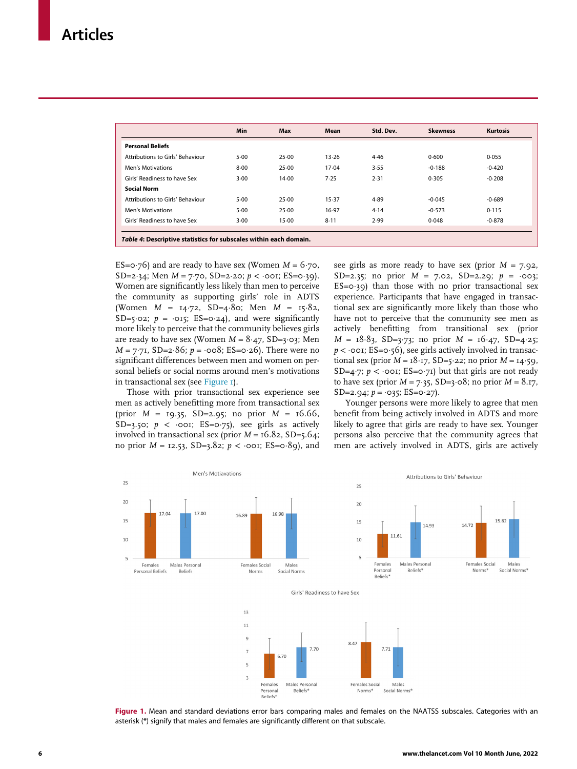|                                  | Min  | Max   | Mean     | Std. Dev. | <b>Skewness</b> | <b>Kurtosis</b> |
|----------------------------------|------|-------|----------|-----------|-----------------|-----------------|
| <b>Personal Beliefs</b>          |      |       |          |           |                 |                 |
| Attributions to Girls' Behaviour | 5.00 | 25.00 | 13.26    | 4.46      | 0.600           | 0.055           |
| <b>Men's Motivations</b>         | 8.00 | 25.00 | 17.04    | 3.55      | $-0.188$        | $-0.420$        |
| Girls' Readiness to have Sex     | 3.00 | 14.00 | 7.25     | 2.31      | 0.305           | $-0.208$        |
| <b>Social Norm</b>               |      |       |          |           |                 |                 |
| Attributions to Girls' Behaviour | 5.00 | 25.00 | 15.37    | 4.89      | $-0.045$        | $-0.689$        |
| <b>Men's Motivations</b>         | 5.00 | 25.00 | 16.97    | 4.14      | $-0.573$        | 0.115           |
| Girls' Readiness to have Sex     | 3.00 | 15.00 | $8 - 11$ | 2.99      | 0.048           | $-0.878$        |

ES=0 $\cdot$ 76) and are ready to have sex (Women  $M = 6.7$ 0, SD=2 $\cdot$ 34; Men  $M = 7\cdot 70$ , SD=2 $\cdot$ 20;  $p < \cdot$ 001; ES=0 $\cdot$ 39). Women are significantly less likely than men to perceive the community as supporting girls' role in ADTS (Women  $M = 14.72$ , SD=4.80; Men  $M = 15.82$ , SD=5 $\cdot$ 02;  $p = \cdot$ 015; ES=0 $\cdot$ 24), and were significantly more likely to perceive that the community believes girls are ready to have sex (Women  $M = 8.47$ , SD=3 $\cdot$ 03; Men  $M = 7.7I$ , SD=2.86;  $p = \cos 8$ ; ES=0.26). There were no significant differences between men and women on personal beliefs or social norms around men's motivations in transactional sex (see Figure 1).

Those with prior transactional sex experience see men as actively benefitting more from transactional sex (prior  $M = 19.35$ , SD=2.95; no prior  $M = 16.66$ , SD=3.50;  $p \lt \infty$  ooi; ES=0.75), see girls as actively involved in transactional sex (prior  $M = 16.82$ , SD=5.64; no prior  $M = 12.53$ , SD=3.82;  $p < \infty$ oo1; ES=0 $\cdot$ 89), and

see girls as more ready to have sex (prior  $M = 7.92$ , SD=2.35; no prior  $M = 7.02$ , SD=2.29;  $p = 0.03$ ;  $ES = 0.39$ ) than those with no prior transactional sex experience. Participants that have engaged in transactional sex are significantly more likely than those who have not to perceive that the community see men as actively benefitting from transitional sex (prior  $M = 18.83$ , SD=3.73; no prior  $M = 16.47$ , SD=4.25;  $p < \cdot$  ooi; ES=0 $\cdot$ 56), see girls actively involved in transactional sex (prior  $M = 18 \cdot 17$ , SD=5 $\cdot$ 22; no prior  $M = 14 \cdot 59$ , SD=4 $\cdot$ 7;  $p < \cdot$  oo1; ES=0 $\cdot$ 71) but that girls are not ready to have sex (prior  $M = 7.35$ , SD=3 $\cdot$ 08; no prior  $M = 8.17$ , SD=2.94;  $p = \cdot 035$ ; ES=0 $\cdot 27$ ).

Younger persons were more likely to agree that men benefit from being actively involved in ADTS and more likely to agree that girls are ready to have sex. Younger persons also perceive that the community agrees that men are actively involved in ADTS, girls are actively



Figure 1. Mean and standard deviations error bars comparing males and females on the NAATSS subscales. Categories with an asterisk (\*) signify that males and females are significantly different on that subscale.

Norms\*

Social Norms<sup>®</sup>

Personal

**Beliefs** 

Beliefs<sup>\*</sup>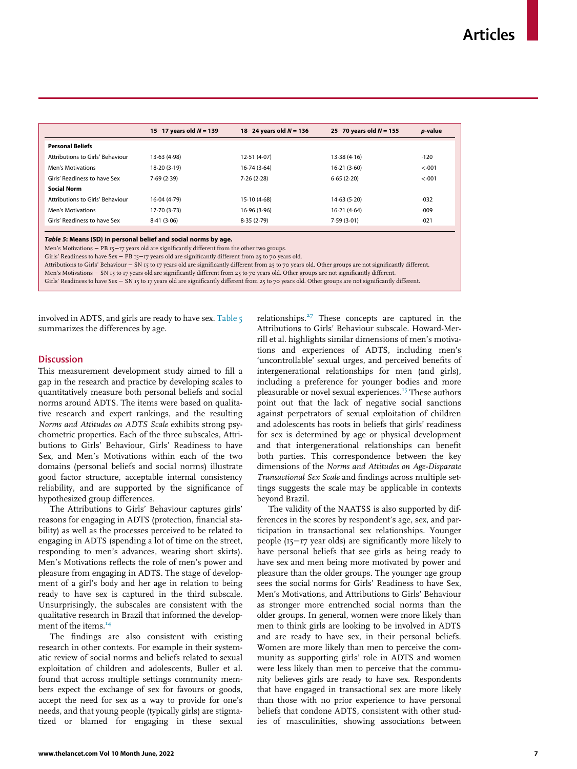|                                  | 15–17 years old $N = 139$ | 18–24 years old $N = 136$ | 25–70 years old $N = 155$ | <i>p</i> -value |
|----------------------------------|---------------------------|---------------------------|---------------------------|-----------------|
| <b>Personal Beliefs</b>          |                           |                           |                           |                 |
| Attributions to Girls' Behaviour | 13.63 (4.98)              | 12.51(4.07)               | 13.38(4.16)               | .120            |
| <b>Men's Motivations</b>         | 18-20 (3-19)              | 16.74(3.64)               | 16.21(3.60)               | < 001           |
| Girls' Readiness to have Sex     | 7.69(2.39)                | 7.26(2.28)                | 6.65(2.20)                | < 001           |
| <b>Social Norm</b>               |                           |                           |                           |                 |
| Attributions to Girls' Behaviour | 16.04 (4.79)              | 15-10 (4-68)              | 14.63(5.20)               | $-032$          |
| <b>Men's Motivations</b>         | 17.70(3.73)               | 16.96 (3.96)              | 16.21(4.64)               | .009            |
| Girls' Readiness to have Sex     | 8.41(3.06)                | 8.35(2.79)                | 7.59(3.01)                | $-021$          |
|                                  |                           |                           |                           |                 |

Table 5: Means (SD) in personal belief and social norms by age.

Men's Motivations − PB 15-17 years old are significantly different from the other two groups.

Girls' Readiness to have Sex - PB 15-17 years old are significantly different from 25 to 70 years old.

Attributions to Girls' Behaviour − SN 15 to 17 years old are significantly different from 25 to 70 years old. Other groups are not significantly different.

Men's Motivations − SN 15 to 17 years old are significantly different from 25 to 70 years old. Other groups are not significantly different.

Girls' Readiness to have Sex − SN 15 to 17 years old are significantly different from 25 to 70 years old. Other groups are not significantly different.

involved in ADTS, and girls are ready to have sex. Table 5 summarizes the differences by age.

## **Discussion**

This measurement development study aimed to fill a gap in the research and practice by developing scales to quantitatively measure both personal beliefs and social norms around ADTS. The items were based on qualitative research and expert rankings, and the resulting Norms and Attitudes on ADTS Scale exhibits strong psychometric properties. Each of the three subscales, Attributions to Girls' Behaviour, Girls' Readiness to have Sex, and Men's Motivations within each of the two domains (personal beliefs and social norms) illustrate good factor structure, acceptable internal consistency reliability, and are supported by the significance of hypothesized group differences.

The Attributions to Girls' Behaviour captures girls' reasons for engaging in ADTS (protection, financial stability) as well as the processes perceived to be related to engaging in ADTS (spending a lot of time on the street, responding to men's advances, wearing short skirts). Men's Motivations reflects the role of men's power and pleasure from engaging in ADTS. The stage of development of a girl's body and her age in relation to being ready to have sex is captured in the third subscale. Unsurprisingly, the subscales are consistent with the qualitative research in Brazil that informed the development of the items.<sup>14</sup>

The findings are also consistent with existing research in other contexts. For example in their systematic review of social norms and beliefs related to sexual exploitation of children and adolescents, Buller et al. found that across multiple settings community members expect the exchange of sex for favours or goods, accept the need for sex as a way to provide for one's needs, and that young people (typically girls) are stigmatized or blamed for engaging in these sexual relationships. $27$  These concepts are captured in the Attributions to Girls' Behaviour subscale. Howard-Merrill et al. highlights similar dimensions of men's motivations and experiences of ADTS, including men's 'uncontrollable' sexual urges, and perceived benefits of intergenerational relationships for men (and girls), including a preference for younger bodies and more pleasurable or novel sexual experiences.<sup>15</sup> These authors point out that the lack of negative social sanctions against perpetrators of sexual exploitation of children and adolescents has roots in beliefs that girls' readiness for sex is determined by age or physical development and that intergenerational relationships can benefit both parties. This correspondence between the key dimensions of the Norms and Attitudes on Age-Disparate Transactional Sex Scale and findings across multiple settings suggests the scale may be applicable in contexts beyond Brazil.

The validity of the NAATSS is also supported by differences in the scores by respondent's age, sex, and participation in transactional sex relationships. Younger people (15−17 year olds) are significantly more likely to have personal beliefs that see girls as being ready to have sex and men being more motivated by power and pleasure than the older groups. The younger age group sees the social norms for Girls' Readiness to have Sex, Men's Motivations, and Attributions to Girls' Behaviour as stronger more entrenched social norms than the older groups. In general, women were more likely than men to think girls are looking to be involved in ADTS and are ready to have sex, in their personal beliefs. Women are more likely than men to perceive the community as supporting girls' role in ADTS and women were less likely than men to perceive that the community believes girls are ready to have sex. Respondents that have engaged in transactional sex are more likely than those with no prior experience to have personal beliefs that condone ADTS, consistent with other studies of masculinities, showing associations between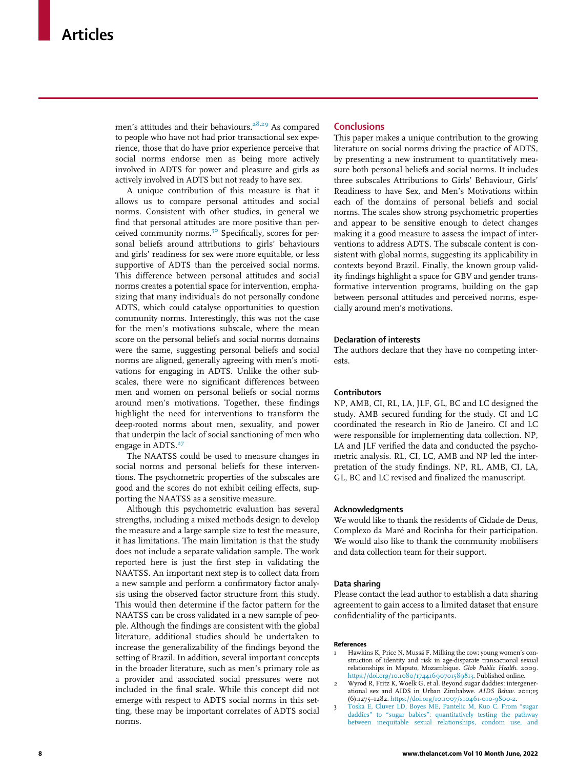men's attitudes and their behaviours.<sup>28,29</sup> As compared to people who have not had prior transactional sex experience, those that do have prior experience perceive that social norms endorse men as being more actively involved in ADTS for power and pleasure and girls as actively involved in ADTS but not ready to have sex.

A unique contribution of this measure is that it allows us to compare personal attitudes and social norms. Consistent with other studies, in general we find that personal attitudes are more positive than perceived community norms.<sup>30</sup> Specifically, scores for personal beliefs around attributions to girls' behaviours and girls' readiness for sex were more equitable, or less supportive of ADTS than the perceived social norms. This difference between personal attitudes and social norms creates a potential space for intervention, emphasizing that many individuals do not personally condone ADTS, which could catalyse opportunities to question community norms. Interestingly, this was not the case for the men's motivations subscale, where the mean score on the personal beliefs and social norms domains were the same, suggesting personal beliefs and social norms are aligned, generally agreeing with men's motivations for engaging in ADTS. Unlike the other subscales, there were no significant differences between men and women on personal beliefs or social norms around men's motivations. Together, these findings highlight the need for interventions to transform the deep-rooted norms about men, sexuality, and power that underpin the lack of social sanctioning of men who engage in ADTS.<sup>27</sup>

The NAATSS could be used to measure changes in social norms and personal beliefs for these interventions. The psychometric properties of the subscales are good and the scores do not exhibit ceiling effects, supporting the NAATSS as a sensitive measure.

Although this psychometric evaluation has several strengths, including a mixed methods design to develop the measure and a large sample size to test the measure, it has limitations. The main limitation is that the study does not include a separate validation sample. The work reported here is just the first step in validating the NAATSS. An important next step is to collect data from a new sample and perform a confirmatory factor analysis using the observed factor structure from this study. This would then determine if the factor pattern for the NAATSS can be cross validated in a new sample of people. Although the findings are consistent with the global literature, additional studies should be undertaken to increase the generalizability of the findings beyond the setting of Brazil. In addition, several important concepts in the broader literature, such as men's primary role as a provider and associated social pressures were not included in the final scale. While this concept did not emerge with respect to ADTS social norms in this setting, these may be important correlates of ADTS social norms.

#### **Conclusions**

This paper makes a unique contribution to the growing literature on social norms driving the practice of ADTS, by presenting a new instrument to quantitatively measure both personal beliefs and social norms. It includes three subscales Attributions to Girls' Behaviour, Girls' Readiness to have Sex, and Men's Motivations within each of the domains of personal beliefs and social norms. The scales show strong psychometric properties and appear to be sensitive enough to detect changes making it a good measure to assess the impact of interventions to address ADTS. The subscale content is consistent with global norms, suggesting its applicability in contexts beyond Brazil. Finally, the known group validity findings highlight a space for GBV and gender transformative intervention programs, building on the gap between personal attitudes and perceived norms, especially around men's motivations.

#### Declaration of interests

The authors declare that they have no competing interests.

## Contributors

NP, AMB, CI, RL, LA, JLF, GL, BC and LC designed the study. AMB secured funding for the study. CI and LC coordinated the research in Rio de Janeiro. CI and LC were responsible for implementing data collection. NP, LA and JLF verified the data and conducted the psychometric analysis. RL, CI, LC, AMB and NP led the interpretation of the study findings. NP, RL, AMB, CI, LA, GL, BC and LC revised and finalized the manuscript.

#### Acknowledgments

We would like to thank the residents of Cidade de Deus, Complexo da Maré and Rocinha for their participation. We would also like to thank the community mobilisers and data collection team for their support.

#### Data sharing

Please contact the lead author to establish a data sharing agreement to gain access to a limited dataset that ensure confidentiality of the participants.

#### References

- 1 Hawkins K, Price N, Mussá F. Milking the cow: young women's construction of identity and risk in age-disparate transactional sexual relationships in Maputo, Mozambique. Glob Public Health. 2009. https://doi.org/10.1080/17441690701589813. Published online.
- 2 Wyrod R, Fritz K, Woelk G, et al. Beyond sugar daddies: intergenerational sex and AIDS in Urban Zimbabwe. AIDS Behav. 2011;15 (6):1275–1282. https://doi.org/10.1007/s10461-010-9800-2.
- 3 Toska E, Cluver LD, Boyes ME, Pantelic M, Kuo C. From "sugar daddies" to "sugar babies": quantitatively testing the pathway between inequitable sexual relationships, condom use, and